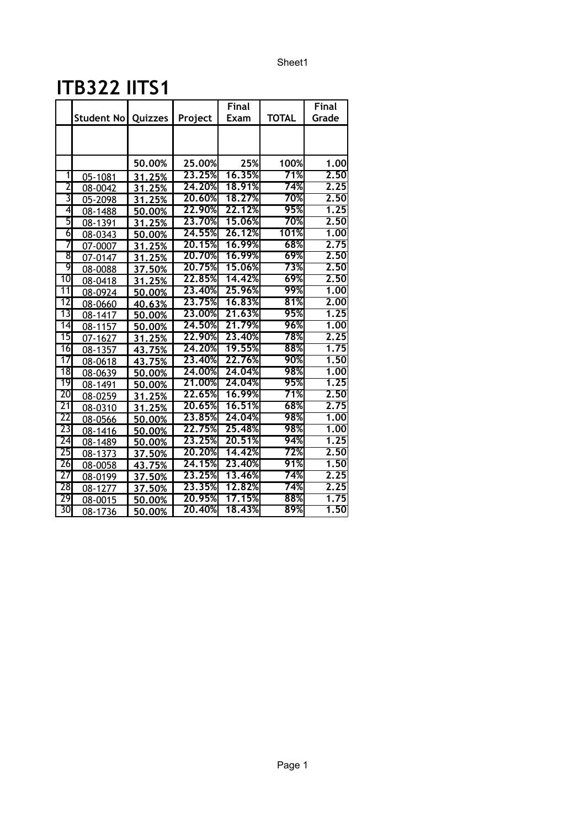## **ITB322 IITS1**

|                 |            |         |         | <b>Final</b> |              | <b>Final</b> |
|-----------------|------------|---------|---------|--------------|--------------|--------------|
|                 | Student No | Quizzes | Project | Exam         | <b>TOTAL</b> | Grade        |
|                 |            |         |         |              |              |              |
|                 |            |         |         |              |              |              |
|                 |            | 50.00%  | 25.00%  | 25%          | 100%         | 1.00         |
| 1               | 05-1081    | 31.25%  | 23.25%  | 16.35%       | 71%          | 2.50         |
| 2               | 08-0042    | 31.25%  | 24.20%  | 18.91%       | 74%          | 2.25         |
| 3               | 05-2098    | 31.25%  | 20.60%  | 18.27%       | 70%          | 2.50         |
| 4               | 08-1488    | 50.00%  | 22.90%  | 22.12%       | 95%          | 1.25         |
| 5               | 08-1391    | 31.25%  | 23,70%  | 15.06%       | 70%          | 2.50         |
| 6               | 08-0343    | 50.00%  | 24.55%  | 26.12%       | 101%         | 1.00         |
| 7               | 07-0007    | 31.25%  | 20.15%  | 16.99%       | 68%          | 2.75         |
| 8               | 07-0147    | 31.25%  | 20.70%  | 16.99%       | 69%          | 2.50         |
| 9               | 08-0088    | 37.50%  | 20,75%  | 15.06%       | 73%          | 2.50         |
| $\overline{10}$ | 08-0418    | 31.25%  | 22.85%  | 14.42%       | 69%          | 2,50         |
| 11              | 08-0924    | 50.00%  | 23,40%  | 25,96%       | 99%          | 1,00         |
| $\overline{12}$ | 08-0660    | 40.63%  | 23,75%  | 16.83%       | 81%          | 2.00         |
| $\overline{13}$ | 08-1417    | 50.00%  | 23,00%  | 21.63%       | 95%          | 1.25         |
| $\overline{14}$ | 08-1157    | 50,00%  | 24.50%  | 21.79%       | 96%          | 1,00         |
| $\overline{15}$ | 07-1627    | 31.25%  | 22.90%  | 23,40%       | 78%          | 2.25         |
| 16              | 08-1357    | 43.75%  | 24.20%  | 19.55%       | 88%          | 1.75         |
| $\overline{17}$ | 08-0618    | 43.75%  | 23,40%  | 22.76%       | 90%          | 1,50         |
| 18              | 08-0639    | 50.00%  | 24,00%  | 24,04%       | 98%          | 1.00         |
| 19              | 08-1491    | 50.00%  | 21,00%  | 24.04%       | 95%          | 1.25         |
| $\overline{20}$ | 08-0259    | 31.25%  | 22.65%  | 16.99%       | 71%          | 2.50         |
| $\overline{21}$ | 08-0310    | 31.25%  | 20.65%  | 16.51%       | 68%          | 2.75         |
| 22              | 08-0566    | 50.00%  | 23.85%  | 24.04%       | 98%          | 1,00         |
| $\overline{23}$ | 08-1416    | 50.00%  | 22.75%  | 25,48%       | 98%          | 1.00         |
| $\overline{24}$ | 08-1489    | 50.00%  | 23.25%  | 20,51%       | 94%          | 1.25         |
| 25              | 08-1373    | 37.50%  | 20.20%  | 14.42%       | 72%          | 2.50         |
| $\overline{26}$ | 08-0058    | 43.75%  | 24.15%  | 23,40%       | 91%          | 1.50         |
| 27              | 08-0199    | 37.50%  | 23.25%  | 13,46%       | 74%          | 2.25         |
| 28              | 08-1277    | 37.50%  | 23.35%  | 12.82%       | 74%          | 2.25         |
| 29              | 08-0015    | 50.00%  | 20.95%  | 17.15%       | 88%          | 1.75         |
| $\overline{30}$ | 08-1736    | 50.00%  | 20.40%  | 18.43%       | 89%          | 1,50         |